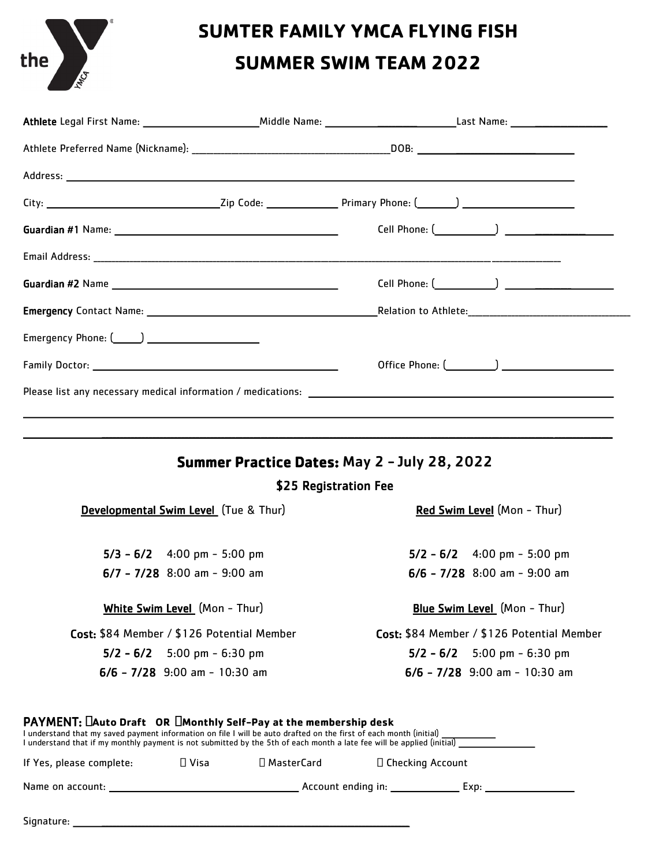

## **SUMTER FAMILY YMCA FLYING FISH SUMMER SWIM TEAM 2022**

| Emergency Phone: (University Phone: 2014)                                                                                                                                                                                                                                                                             |              |                                            |
|-----------------------------------------------------------------------------------------------------------------------------------------------------------------------------------------------------------------------------------------------------------------------------------------------------------------------|--------------|--------------------------------------------|
|                                                                                                                                                                                                                                                                                                                       |              |                                            |
|                                                                                                                                                                                                                                                                                                                       |              |                                            |
|                                                                                                                                                                                                                                                                                                                       |              | \$25 Registration Fee                      |
| Developmental Swim Level (Tue & Thur)                                                                                                                                                                                                                                                                                 |              | Red Swim Level (Mon - Thur)                |
| $5/3 - 6/2$ 4:00 pm - 5:00 pm                                                                                                                                                                                                                                                                                         |              | $5/2 - 6/2$ 4:00 pm - 5:00 pm              |
| $6/7 - 7/28$ 8:00 am - 9:00 am                                                                                                                                                                                                                                                                                        |              | $6/6 - 7/28$ 8:00 am - 9:00 am             |
| <b>White Swim Level</b> (Mon - Thur)                                                                                                                                                                                                                                                                                  |              | <b>Blue Swim Level</b> (Mon - Thur)        |
| Cost: \$84 Member / \$126 Potential Member                                                                                                                                                                                                                                                                            |              | Cost: \$84 Member / \$126 Potential Member |
| $5/2 - 6/2$ 5:00 pm - 6:30 pm                                                                                                                                                                                                                                                                                         |              | $5/2 - 6/2$ 5:00 pm - 6:30 pm              |
| $6/6 - 7/28$ 9:00 am - 10:30 am                                                                                                                                                                                                                                                                                       |              | $6/6 - 7/28$ 9:00 am - 10:30 am            |
| PAYMENT: Lauto Draft OR LMonthly Self-Pay at the membership desk<br>I understand that my saved payment information on file I will be auto drafted on the first of each month (initial)<br>I understand that if my monthly payment is not submitted by the 5th of each month a late fee will be applied (initial) ____ |              |                                            |
| If Yes, please complete: $\Box$ Visa                                                                                                                                                                                                                                                                                  | □ MasterCard | $\Box$ Checking Account                    |
|                                                                                                                                                                                                                                                                                                                       |              |                                            |

Signature: \_\_\_\_\_\_\_\_\_\_\_\_\_\_\_\_\_\_\_\_\_\_\_\_\_\_\_\_\_\_\_\_\_\_\_\_\_\_\_\_\_\_\_\_\_\_\_\_\_\_\_\_\_\_\_\_\_\_\_\_\_\_\_\_\_\_\_\_\_\_\_\_\_\_\_\_\_\_\_\_\_\_\_\_\_